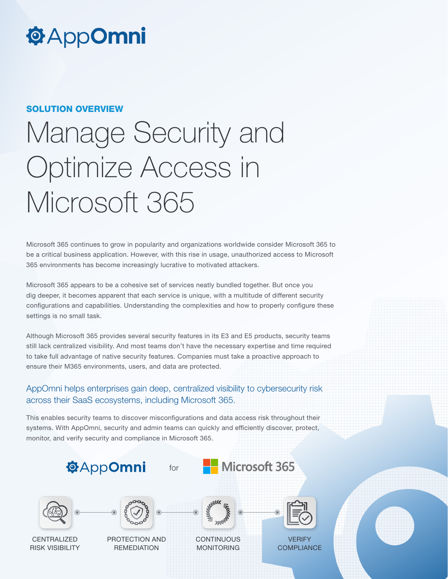# **@AppOmni**

#### SOLUTION OVERVIEW

# Manage Security and Optimize Access in Microsoft 365

Microsoft 365 continues to grow in popularity and organizations worldwide consider Microsoft 365 to be a critical business application. However, with this rise in usage, unauthorized access to Microsoft 365 environments has become increasingly lucrative to motivated attackers.

Microsoft 365 appears to be a cohesive set of services neatly bundled together. But once you dig deeper, it becomes apparent that each service is unique, with a multitude of different security configurations and capabilities. Understanding the complexities and how to properly configure these settings is no small task.

Although Microsoft 365 provides several security features in its E3 and E5 products, security teams still lack centralized visibility. And most teams don't have the necessary expertise and time required to take full advantage of native security features. Companies must take a proactive approach to ensure their M365 environments, users, and data are protected.

## AppOmni helps enterprises gain deep, centralized visibility to cybersecurity risk across their SaaS ecosystems, including Microsoft 365.

This enables security teams to discover misconfigurations and data access risk throughout their systems. With AppOmni, security and admin teams can quickly and efficiently discover, protect, monitor, and verify security and compliance in Microsoft 365.